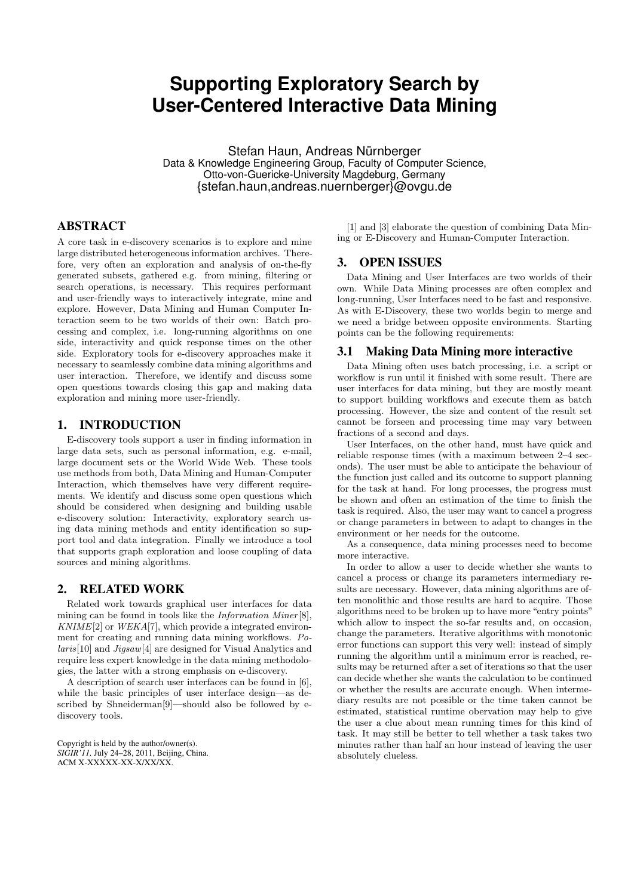# **Supporting Exploratory Search by User-Centered Interactive Data Mining**

Stefan Haun, Andreas Nürnberger Data & Knowledge Engineering Group, Faculty of Computer Science, Otto-von-Guericke-University Magdeburg, Germany {stefan.haun,andreas.nuernberger}@ovgu.de

#### ABSTRACT

A core task in e-discovery scenarios is to explore and mine large distributed heterogeneous information archives. Therefore, very often an exploration and analysis of on-the-fly generated subsets, gathered e.g. from mining, filtering or search operations, is necessary. This requires performant and user-friendly ways to interactively integrate, mine and explore. However, Data Mining and Human Computer Interaction seem to be two worlds of their own: Batch processing and complex, i.e. long-running algorithms on one side, interactivity and quick response times on the other side. Exploratory tools for e-discovery approaches make it necessary to seamlessly combine data mining algorithms and user interaction. Therefore, we identify and discuss some open questions towards closing this gap and making data exploration and mining more user-friendly.

#### 1. INTRODUCTION

E-discovery tools support a user in finding information in large data sets, such as personal information, e.g. e-mail, large document sets or the World Wide Web. These tools use methods from both, Data Mining and Human-Computer Interaction, which themselves have very different requirements. We identify and discuss some open questions which should be considered when designing and building usable e-discovery solution: Interactivity, exploratory search using data mining methods and entity identification so support tool and data integration. Finally we introduce a tool that supports graph exploration and loose coupling of data sources and mining algorithms.

#### 2. RELATED WORK

Related work towards graphical user interfaces for data mining can be found in tools like the Information Miner [8],  $KNIME[2]$  or  $WEKA[7]$ , which provide a integrated environment for creating and running data mining workflows. Polaris[10] and Jigsaw[4] are designed for Visual Analytics and require less expert knowledge in the data mining methodologies, the latter with a strong emphasis on e-discovery.

A description of search user interfaces can be found in [6], while the basic principles of user interface design—as described by Shneiderman[9]—should also be followed by ediscovery tools.

Copyright is held by the author/owner(s). *SIGIR'11,* July 24–28, 2011, Beijing, China. ACM X-XXXXX-XX-X/XX/XX.

[1] and [3] elaborate the question of combining Data Mining or E-Discovery and Human-Computer Interaction.

## 3. OPEN ISSUES

Data Mining and User Interfaces are two worlds of their own. While Data Mining processes are often complex and long-running, User Interfaces need to be fast and responsive. As with E-Discovery, these two worlds begin to merge and we need a bridge between opposite environments. Starting points can be the following requirements:

#### 3.1 Making Data Mining more interactive

Data Mining often uses batch processing, i.e. a script or workflow is run until it finished with some result. There are user interfaces for data mining, but they are mostly meant to support building workflows and execute them as batch processing. However, the size and content of the result set cannot be forseen and processing time may vary between fractions of a second and days.

User Interfaces, on the other hand, must have quick and reliable response times (with a maximum between 2–4 seconds). The user must be able to anticipate the behaviour of the function just called and its outcome to support planning for the task at hand. For long processes, the progress must be shown and often an estimation of the time to finish the task is required. Also, the user may want to cancel a progress or change parameters in between to adapt to changes in the environment or her needs for the outcome.

As a consequence, data mining processes need to become more interactive.

In order to allow a user to decide whether she wants to cancel a process or change its parameters intermediary results are necessary. However, data mining algorithms are often monolithic and those results are hard to acquire. Those algorithms need to be broken up to have more "entry points" which allow to inspect the so-far results and, on occasion, change the parameters. Iterative algorithms with monotonic error functions can support this very well: instead of simply running the algorithm until a minimum error is reached, results may be returned after a set of iterations so that the user can decide whether she wants the calculation to be continued or whether the results are accurate enough. When intermediary results are not possible or the time taken cannot be estimated, statistical runtime obervation may help to give the user a clue about mean running times for this kind of task. It may still be better to tell whether a task takes two minutes rather than half an hour instead of leaving the user absolutely clueless.